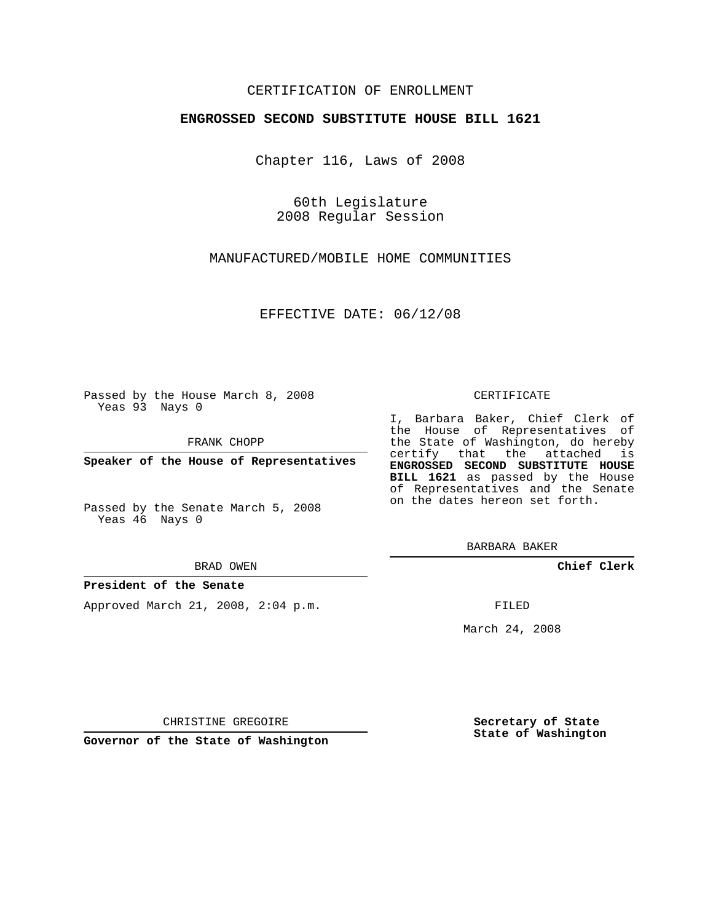## CERTIFICATION OF ENROLLMENT

### **ENGROSSED SECOND SUBSTITUTE HOUSE BILL 1621**

Chapter 116, Laws of 2008

60th Legislature 2008 Regular Session

MANUFACTURED/MOBILE HOME COMMUNITIES

EFFECTIVE DATE: 06/12/08

Passed by the House March 8, 2008 Yeas 93 Nays 0

FRANK CHOPP

**Speaker of the House of Representatives**

Passed by the Senate March 5, 2008 Yeas 46 Nays 0

#### BRAD OWEN

### **President of the Senate**

Approved March 21, 2008, 2:04 p.m.

#### CERTIFICATE

I, Barbara Baker, Chief Clerk of the House of Representatives of the State of Washington, do hereby certify that the attached is **ENGROSSED SECOND SUBSTITUTE HOUSE BILL 1621** as passed by the House of Representatives and the Senate on the dates hereon set forth.

BARBARA BAKER

**Chief Clerk**

FILED

March 24, 2008

**Secretary of State State of Washington**

CHRISTINE GREGOIRE

**Governor of the State of Washington**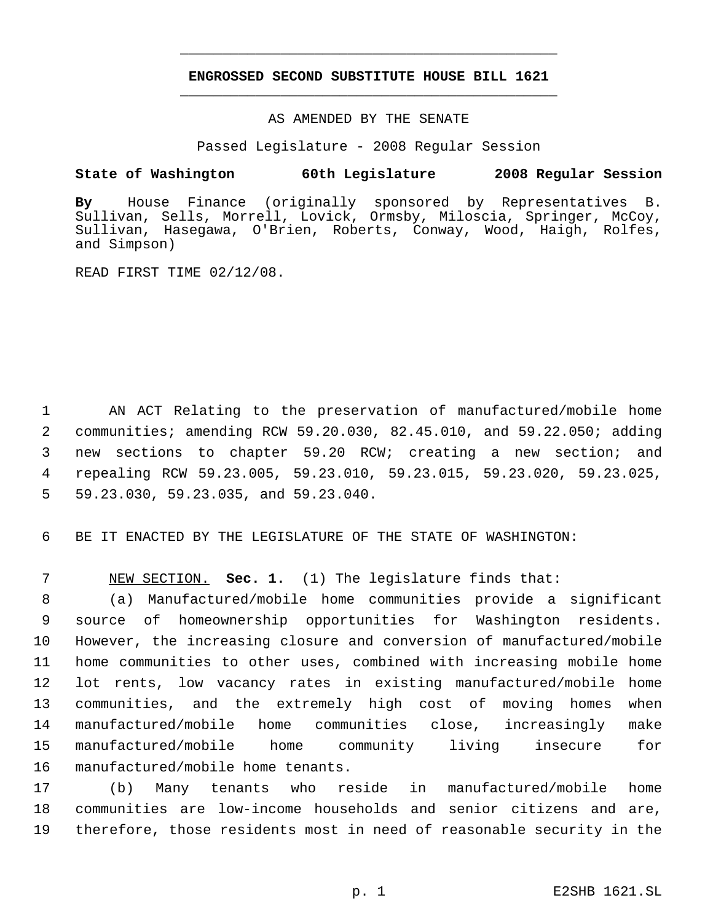# **ENGROSSED SECOND SUBSTITUTE HOUSE BILL 1621** \_\_\_\_\_\_\_\_\_\_\_\_\_\_\_\_\_\_\_\_\_\_\_\_\_\_\_\_\_\_\_\_\_\_\_\_\_\_\_\_\_\_\_\_\_

\_\_\_\_\_\_\_\_\_\_\_\_\_\_\_\_\_\_\_\_\_\_\_\_\_\_\_\_\_\_\_\_\_\_\_\_\_\_\_\_\_\_\_\_\_

AS AMENDED BY THE SENATE

Passed Legislature - 2008 Regular Session

## **State of Washington 60th Legislature 2008 Regular Session**

**By** House Finance (originally sponsored by Representatives B. Sullivan, Sells, Morrell, Lovick, Ormsby, Miloscia, Springer, McCoy, Sullivan, Hasegawa, O'Brien, Roberts, Conway, Wood, Haigh, Rolfes, and Simpson)

READ FIRST TIME 02/12/08.

 AN ACT Relating to the preservation of manufactured/mobile home communities; amending RCW 59.20.030, 82.45.010, and 59.22.050; adding new sections to chapter 59.20 RCW; creating a new section; and repealing RCW 59.23.005, 59.23.010, 59.23.015, 59.23.020, 59.23.025, 59.23.030, 59.23.035, and 59.23.040.

BE IT ENACTED BY THE LEGISLATURE OF THE STATE OF WASHINGTON:

NEW SECTION. **Sec. 1.** (1) The legislature finds that:

 (a) Manufactured/mobile home communities provide a significant source of homeownership opportunities for Washington residents. However, the increasing closure and conversion of manufactured/mobile home communities to other uses, combined with increasing mobile home lot rents, low vacancy rates in existing manufactured/mobile home communities, and the extremely high cost of moving homes when manufactured/mobile home communities close, increasingly make manufactured/mobile home community living insecure for manufactured/mobile home tenants.

 (b) Many tenants who reside in manufactured/mobile home communities are low-income households and senior citizens and are, therefore, those residents most in need of reasonable security in the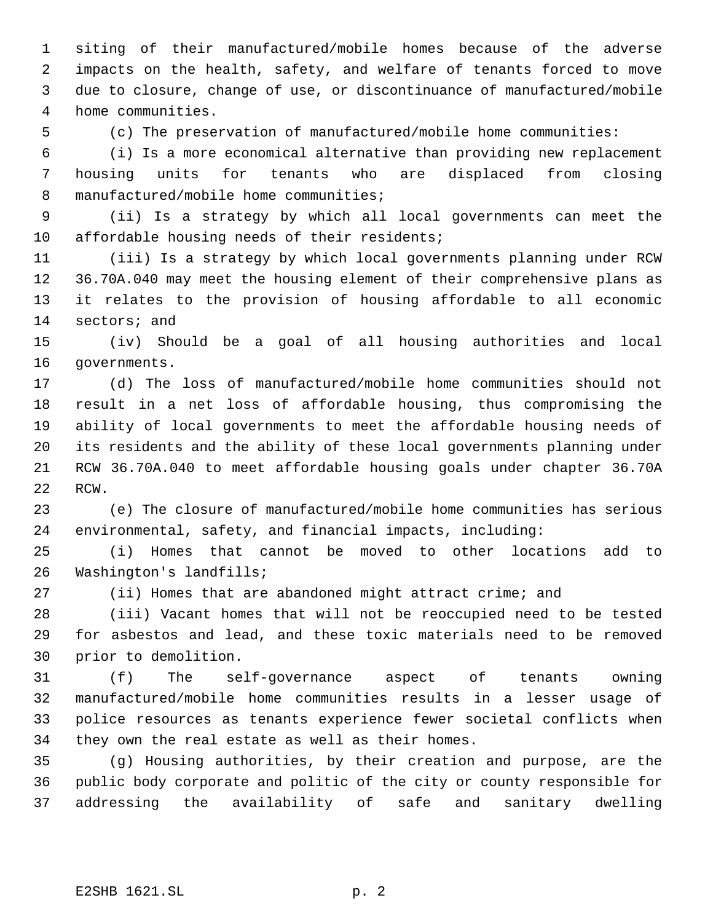siting of their manufactured/mobile homes because of the adverse impacts on the health, safety, and welfare of tenants forced to move due to closure, change of use, or discontinuance of manufactured/mobile home communities.

(c) The preservation of manufactured/mobile home communities:

 (i) Is a more economical alternative than providing new replacement housing units for tenants who are displaced from closing manufactured/mobile home communities;

 (ii) Is a strategy by which all local governments can meet the affordable housing needs of their residents;

 (iii) Is a strategy by which local governments planning under RCW 36.70A.040 may meet the housing element of their comprehensive plans as it relates to the provision of housing affordable to all economic sectors; and

 (iv) Should be a goal of all housing authorities and local governments.

 (d) The loss of manufactured/mobile home communities should not result in a net loss of affordable housing, thus compromising the ability of local governments to meet the affordable housing needs of its residents and the ability of these local governments planning under RCW 36.70A.040 to meet affordable housing goals under chapter 36.70A RCW.

 (e) The closure of manufactured/mobile home communities has serious environmental, safety, and financial impacts, including:

 (i) Homes that cannot be moved to other locations add to Washington's landfills;

(ii) Homes that are abandoned might attract crime; and

 (iii) Vacant homes that will not be reoccupied need to be tested for asbestos and lead, and these toxic materials need to be removed prior to demolition.

 (f) The self-governance aspect of tenants owning manufactured/mobile home communities results in a lesser usage of police resources as tenants experience fewer societal conflicts when they own the real estate as well as their homes.

 (g) Housing authorities, by their creation and purpose, are the public body corporate and politic of the city or county responsible for addressing the availability of safe and sanitary dwelling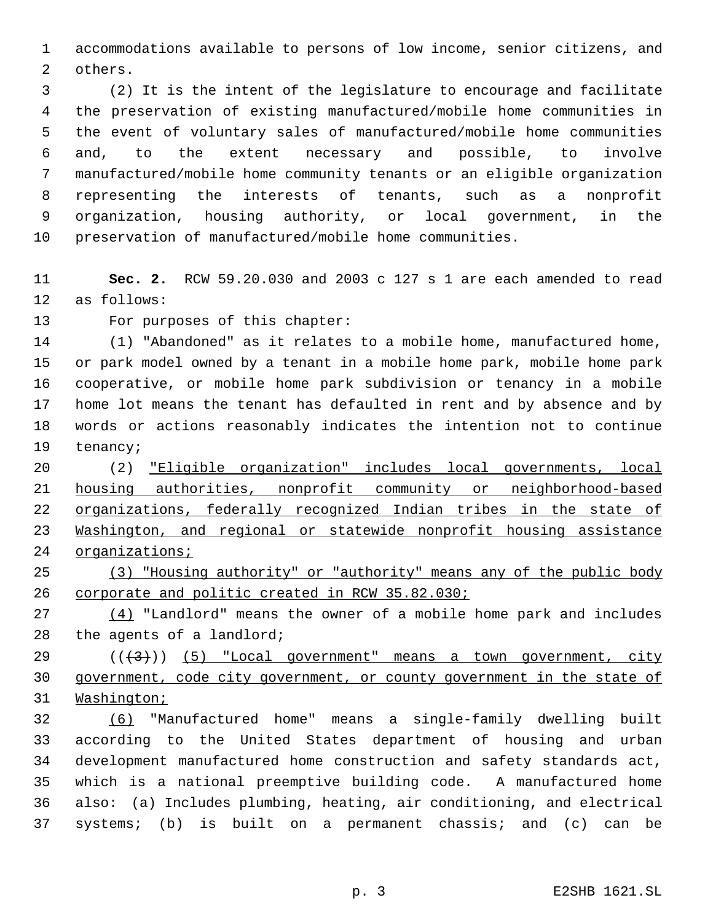accommodations available to persons of low income, senior citizens, and others.

 (2) It is the intent of the legislature to encourage and facilitate the preservation of existing manufactured/mobile home communities in the event of voluntary sales of manufactured/mobile home communities and, to the extent necessary and possible, to involve manufactured/mobile home community tenants or an eligible organization representing the interests of tenants, such as a nonprofit organization, housing authority, or local government, in the preservation of manufactured/mobile home communities.

 **Sec. 2.** RCW 59.20.030 and 2003 c 127 s 1 are each amended to read as follows:

For purposes of this chapter:

 (1) "Abandoned" as it relates to a mobile home, manufactured home, or park model owned by a tenant in a mobile home park, mobile home park cooperative, or mobile home park subdivision or tenancy in a mobile home lot means the tenant has defaulted in rent and by absence and by words or actions reasonably indicates the intention not to continue tenancy;

 (2) "Eligible organization" includes local governments, local housing authorities, nonprofit community or neighborhood-based organizations, federally recognized Indian tribes in the state of Washington, and regional or statewide nonprofit housing assistance organizations;

 (3) "Housing authority" or "authority" means any of the public body corporate and politic created in RCW 35.82.030;

 (4) "Landlord" means the owner of a mobile home park and includes the agents of a landlord;

 ( $(\frac{43}{})$ ) (5) "Local government" means a town government, city government, code city government, or county government in the state of Washington;

 (6) "Manufactured home" means a single-family dwelling built according to the United States department of housing and urban development manufactured home construction and safety standards act, which is a national preemptive building code. A manufactured home also: (a) Includes plumbing, heating, air conditioning, and electrical systems; (b) is built on a permanent chassis; and (c) can be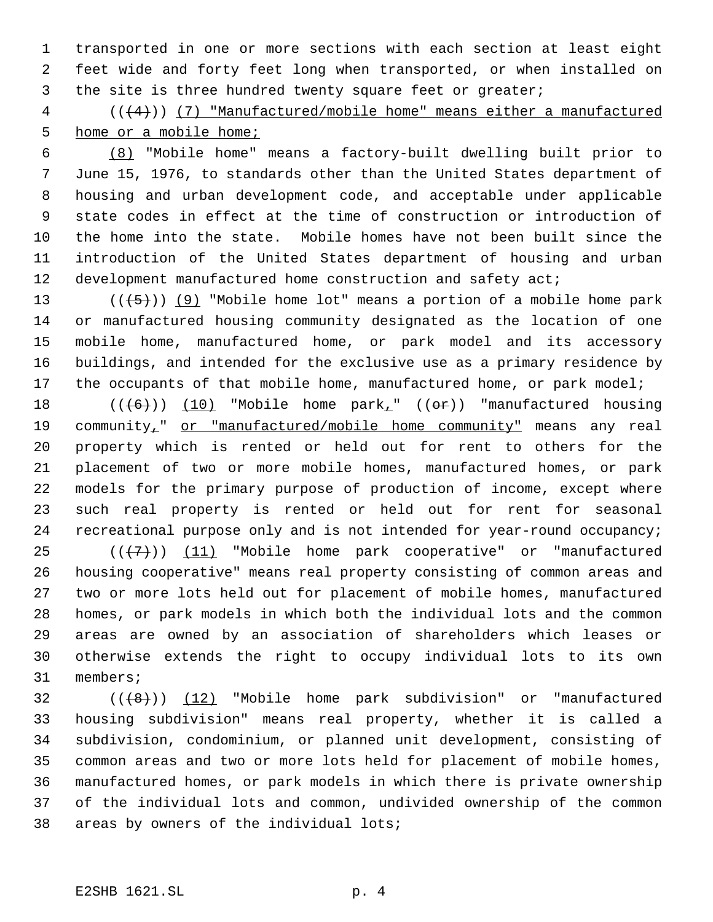transported in one or more sections with each section at least eight feet wide and forty feet long when transported, or when installed on the site is three hundred twenty square feet or greater;

 (((4))) (7) "Manufactured/mobile home" means either a manufactured home or a mobile home;

 (8) "Mobile home" means a factory-built dwelling built prior to June 15, 1976, to standards other than the United States department of housing and urban development code, and acceptable under applicable state codes in effect at the time of construction or introduction of the home into the state. Mobile homes have not been built since the introduction of the United States department of housing and urban 12 development manufactured home construction and safety act;

13 ( $(\overline{5})$ ) (9) "Mobile home lot" means a portion of a mobile home park or manufactured housing community designated as the location of one mobile home, manufactured home, or park model and its accessory buildings, and intended for the exclusive use as a primary residence by 17 the occupants of that mobile home, manufactured home, or park model;

 $((+6))$   $(10)$  "Mobile home park<sub>1</sub>"  $((+6))$  "manufactured housing 19 community<sub>L</sub>" or "manufactured/mobile home community" means any real property which is rented or held out for rent to others for the placement of two or more mobile homes, manufactured homes, or park models for the primary purpose of production of income, except where such real property is rented or held out for rent for seasonal 24 recreational purpose only and is not intended for year-round occupancy;

 $((+7)$ ) (11) "Mobile home park cooperative" or "manufactured housing cooperative" means real property consisting of common areas and two or more lots held out for placement of mobile homes, manufactured homes, or park models in which both the individual lots and the common areas are owned by an association of shareholders which leases or otherwise extends the right to occupy individual lots to its own members;

 ( $(\frac{48}{})$ ) (12) "Mobile home park subdivision" or "manufactured housing subdivision" means real property, whether it is called a subdivision, condominium, or planned unit development, consisting of common areas and two or more lots held for placement of mobile homes, manufactured homes, or park models in which there is private ownership of the individual lots and common, undivided ownership of the common areas by owners of the individual lots;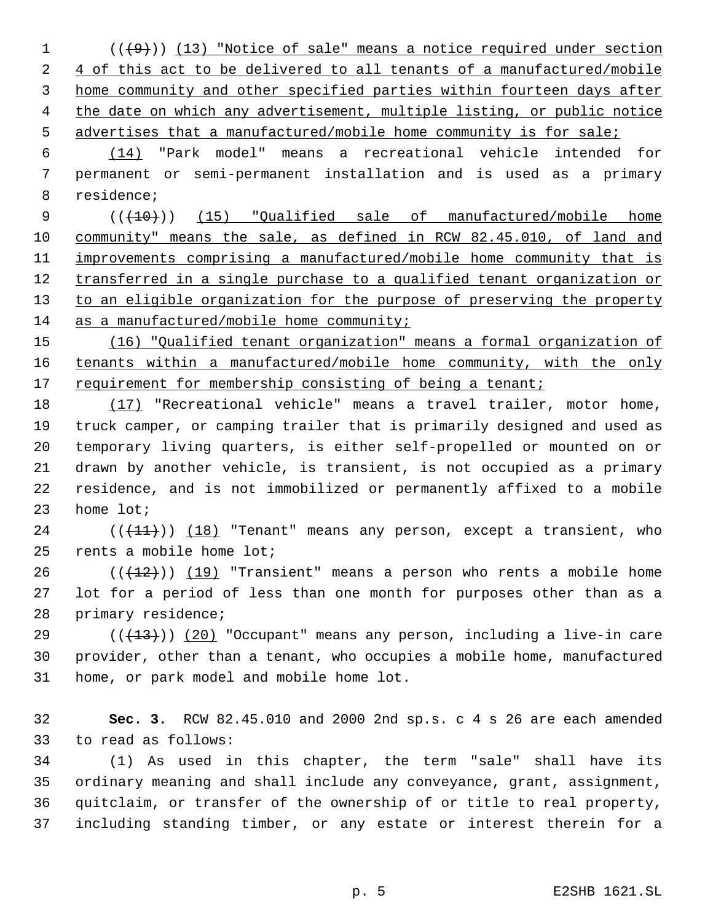(( $\{9\}$ )) (13) "Notice of sale" means a notice required under section 2 4 of this act to be delivered to all tenants of a manufactured/mobile home community and other specified parties within fourteen days after the date on which any advertisement, multiple listing, or public notice 5 advertises that a manufactured/mobile home community is for sale;

 (14) "Park model" means a recreational vehicle intended for permanent or semi-permanent installation and is used as a primary residence;

9 (( $(10)$ ) (15) "Qualified sale of manufactured/mobile home 10 community" means the sale, as defined in RCW 82.45.010, of land and improvements comprising a manufactured/mobile home community that is 12 transferred in a single purchase to a qualified tenant organization or 13 to an eligible organization for the purpose of preserving the property 14 as a manufactured/mobile home community;

 (16) "Qualified tenant organization" means a formal organization of tenants within a manufactured/mobile home community, with the only 17 requirement for membership consisting of being a tenant;

18 (17) "Recreational vehicle" means a travel trailer, motor home, truck camper, or camping trailer that is primarily designed and used as temporary living quarters, is either self-propelled or mounted on or drawn by another vehicle, is transient, is not occupied as a primary residence, and is not immobilized or permanently affixed to a mobile home lot;

 ( $(\overline{+11})$ )  $(18)$  "Tenant" means any person, except a transient, who rents a mobile home lot;

26 ( $(\frac{12}{12})$ ) (19) "Transient" means a person who rents a mobile home lot for a period of less than one month for purposes other than as a primary residence;

29 ( $(\frac{13}{13})$ ) (20) "Occupant" means any person, including a live-in care provider, other than a tenant, who occupies a mobile home, manufactured home, or park model and mobile home lot.

 **Sec. 3.** RCW 82.45.010 and 2000 2nd sp.s. c 4 s 26 are each amended to read as follows:

 (1) As used in this chapter, the term "sale" shall have its ordinary meaning and shall include any conveyance, grant, assignment, quitclaim, or transfer of the ownership of or title to real property, including standing timber, or any estate or interest therein for a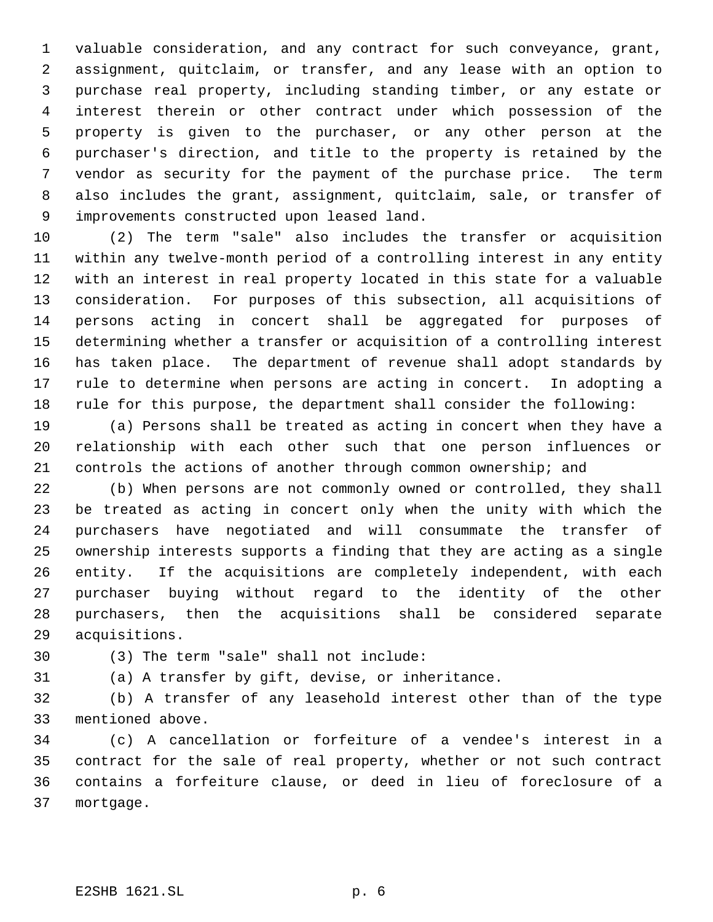valuable consideration, and any contract for such conveyance, grant, assignment, quitclaim, or transfer, and any lease with an option to purchase real property, including standing timber, or any estate or interest therein or other contract under which possession of the property is given to the purchaser, or any other person at the purchaser's direction, and title to the property is retained by the vendor as security for the payment of the purchase price. The term also includes the grant, assignment, quitclaim, sale, or transfer of improvements constructed upon leased land.

 (2) The term "sale" also includes the transfer or acquisition within any twelve-month period of a controlling interest in any entity with an interest in real property located in this state for a valuable consideration. For purposes of this subsection, all acquisitions of persons acting in concert shall be aggregated for purposes of determining whether a transfer or acquisition of a controlling interest has taken place. The department of revenue shall adopt standards by rule to determine when persons are acting in concert. In adopting a rule for this purpose, the department shall consider the following:

 (a) Persons shall be treated as acting in concert when they have a relationship with each other such that one person influences or controls the actions of another through common ownership; and

 (b) When persons are not commonly owned or controlled, they shall be treated as acting in concert only when the unity with which the purchasers have negotiated and will consummate the transfer of ownership interests supports a finding that they are acting as a single entity. If the acquisitions are completely independent, with each purchaser buying without regard to the identity of the other purchasers, then the acquisitions shall be considered separate acquisitions.

(3) The term "sale" shall not include:

(a) A transfer by gift, devise, or inheritance.

 (b) A transfer of any leasehold interest other than of the type mentioned above.

 (c) A cancellation or forfeiture of a vendee's interest in a contract for the sale of real property, whether or not such contract contains a forfeiture clause, or deed in lieu of foreclosure of a mortgage.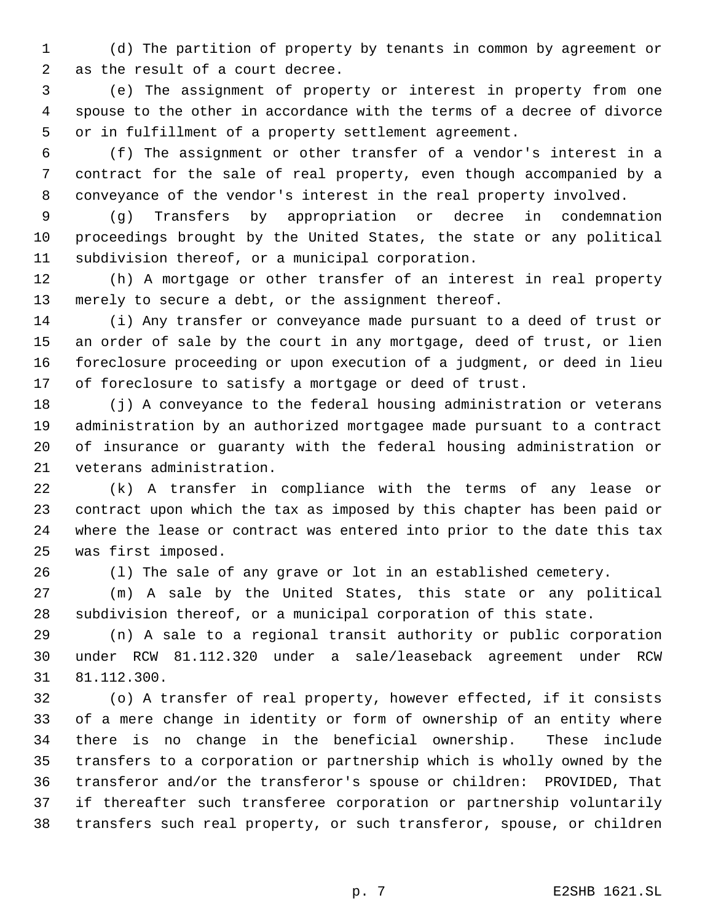(d) The partition of property by tenants in common by agreement or as the result of a court decree.

 (e) The assignment of property or interest in property from one spouse to the other in accordance with the terms of a decree of divorce or in fulfillment of a property settlement agreement.

 (f) The assignment or other transfer of a vendor's interest in a contract for the sale of real property, even though accompanied by a conveyance of the vendor's interest in the real property involved.

 (g) Transfers by appropriation or decree in condemnation proceedings brought by the United States, the state or any political subdivision thereof, or a municipal corporation.

 (h) A mortgage or other transfer of an interest in real property merely to secure a debt, or the assignment thereof.

 (i) Any transfer or conveyance made pursuant to a deed of trust or an order of sale by the court in any mortgage, deed of trust, or lien foreclosure proceeding or upon execution of a judgment, or deed in lieu of foreclosure to satisfy a mortgage or deed of trust.

 (j) A conveyance to the federal housing administration or veterans administration by an authorized mortgagee made pursuant to a contract of insurance or guaranty with the federal housing administration or veterans administration.

 (k) A transfer in compliance with the terms of any lease or contract upon which the tax as imposed by this chapter has been paid or where the lease or contract was entered into prior to the date this tax was first imposed.

(l) The sale of any grave or lot in an established cemetery.

 (m) A sale by the United States, this state or any political subdivision thereof, or a municipal corporation of this state.

 (n) A sale to a regional transit authority or public corporation under RCW 81.112.320 under a sale/leaseback agreement under RCW 81.112.300.

 (o) A transfer of real property, however effected, if it consists of a mere change in identity or form of ownership of an entity where there is no change in the beneficial ownership. These include transfers to a corporation or partnership which is wholly owned by the transferor and/or the transferor's spouse or children: PROVIDED, That if thereafter such transferee corporation or partnership voluntarily transfers such real property, or such transferor, spouse, or children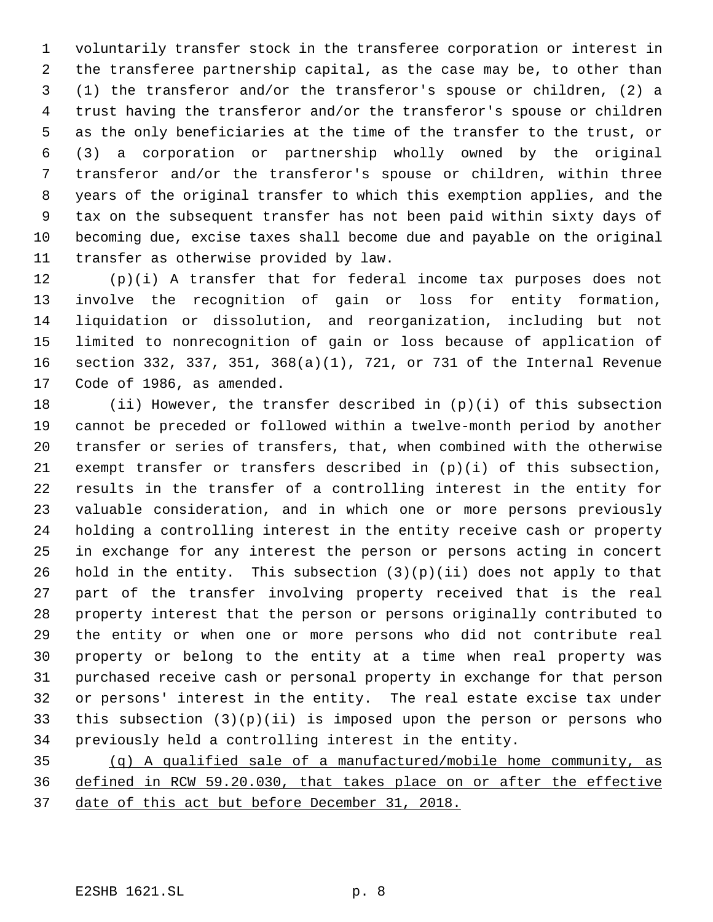voluntarily transfer stock in the transferee corporation or interest in the transferee partnership capital, as the case may be, to other than (1) the transferor and/or the transferor's spouse or children, (2) a trust having the transferor and/or the transferor's spouse or children as the only beneficiaries at the time of the transfer to the trust, or (3) a corporation or partnership wholly owned by the original transferor and/or the transferor's spouse or children, within three years of the original transfer to which this exemption applies, and the tax on the subsequent transfer has not been paid within sixty days of becoming due, excise taxes shall become due and payable on the original transfer as otherwise provided by law.

 (p)(i) A transfer that for federal income tax purposes does not involve the recognition of gain or loss for entity formation, liquidation or dissolution, and reorganization, including but not limited to nonrecognition of gain or loss because of application of section 332, 337, 351, 368(a)(1), 721, or 731 of the Internal Revenue Code of 1986, as amended.

 (ii) However, the transfer described in (p)(i) of this subsection cannot be preceded or followed within a twelve-month period by another transfer or series of transfers, that, when combined with the otherwise 21 exempt transfer or transfers described in  $(p)(i)$  of this subsection, results in the transfer of a controlling interest in the entity for valuable consideration, and in which one or more persons previously holding a controlling interest in the entity receive cash or property in exchange for any interest the person or persons acting in concert 26 hold in the entity. This subsection  $(3)(p)(ii)$  does not apply to that part of the transfer involving property received that is the real property interest that the person or persons originally contributed to the entity or when one or more persons who did not contribute real property or belong to the entity at a time when real property was purchased receive cash or personal property in exchange for that person or persons' interest in the entity. The real estate excise tax under this subsection (3)(p)(ii) is imposed upon the person or persons who previously held a controlling interest in the entity.

 (q) A qualified sale of a manufactured/mobile home community, as defined in RCW 59.20.030, that takes place on or after the effective date of this act but before December 31, 2018.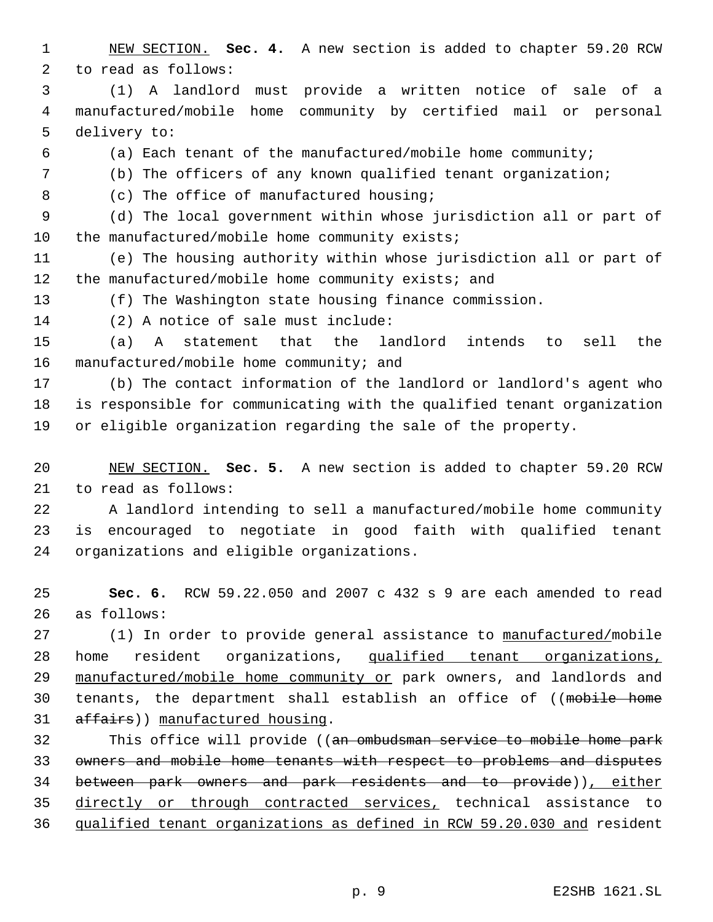- NEW SECTION. **Sec. 4.** A new section is added to chapter 59.20 RCW to read as follows:
- (1) A landlord must provide a written notice of sale of a manufactured/mobile home community by certified mail or personal delivery to:
- (a) Each tenant of the manufactured/mobile home community;
- (b) The officers of any known qualified tenant organization;
- 8 (c) The office of manufactured housing;
- (d) The local government within whose jurisdiction all or part of 10 the manufactured/mobile home community exists;
- (e) The housing authority within whose jurisdiction all or part of the manufactured/mobile home community exists; and
- (f) The Washington state housing finance commission.
- (2) A notice of sale must include:
- (a) A statement that the landlord intends to sell the 16 manufactured/mobile home community; and
- (b) The contact information of the landlord or landlord's agent who is responsible for communicating with the qualified tenant organization or eligible organization regarding the sale of the property.
- NEW SECTION. **Sec. 5.** A new section is added to chapter 59.20 RCW to read as follows:
- A landlord intending to sell a manufactured/mobile home community is encouraged to negotiate in good faith with qualified tenant organizations and eligible organizations.
- **Sec. 6.** RCW 59.22.050 and 2007 c 432 s 9 are each amended to read as follows:
- 27 (1) In order to provide general assistance to manufactured/mobile home resident organizations, qualified tenant organizations, 29 manufactured/mobile home community or park owners, and landlords and 30 tenants, the department shall establish an office of ((mobile home 31 affairs)) manufactured housing.
- This office will provide ((an ombudsman service to mobile home park owners and mobile home tenants with respect to problems and disputes between park owners and park residents and to provide)), either 35 directly or through contracted services, technical assistance to qualified tenant organizations as defined in RCW 59.20.030 and resident